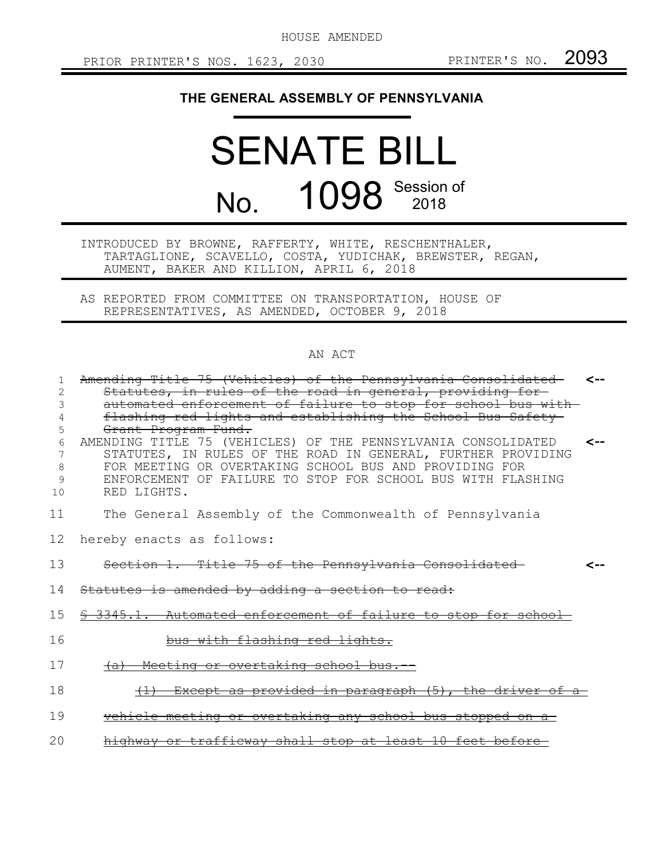HOUSE AMENDED

## **THE GENERAL ASSEMBLY OF PENNSYLVANIA**

## SENATE BILL No. **1098** Session of

INTRODUCED BY BROWNE, RAFFERTY, WHITE, RESCHENTHALER, TARTAGLIONE, SCAVELLO, COSTA, YUDICHAK, BREWSTER, REGAN, AUMENT, BAKER AND KILLION, APRIL 6, 2018

AS REPORTED FROM COMMITTEE ON TRANSPORTATION, HOUSE OF REPRESENTATIVES, AS AMENDED, OCTOBER 9, 2018

## AN ACT

| 1  | Amending Title 75 (Vehicles) of the Pennsylvania Consolidated   | <-- |
|----|-----------------------------------------------------------------|-----|
| 2  | Statutes, in rules of the road in general, providing for-       |     |
| ζ  | automated enforcement of failure to stop for school bus with-   |     |
|    | flashing red lights and establishing the School Bus Safety      |     |
| 5  | Grant Program Fund.                                             |     |
| 6  | AMENDING TITLE 75 (VEHICLES) OF THE PENNSYLVANIA CONSOLIDATED   | ⊂-- |
| 7  | STATUTES, IN RULES OF THE ROAD IN GENERAL, FURTHER PROVIDING    |     |
| 8  | FOR MEETING OR OVERTAKING SCHOOL BUS AND PROVIDING FOR          |     |
| 9  | ENFORCEMENT OF FAILURE TO STOP FOR SCHOOL BUS WITH FLASHING     |     |
| 10 | RED LIGHTS.                                                     |     |
| 11 | The General Assembly of the Commonwealth of Pennsylvania        |     |
| 12 | hereby enacts as follows:                                       |     |
| 13 | Section 1. Title 75 of the Pennsylvania Consolidated            |     |
| 14 | Statutes is amended by adding a section to read:                |     |
| 15 | \$ 3345.1. Automated enforcement of failure to stop for school- |     |
| 16 | bus with flashing red lights.                                   |     |
| 17 | (a) Meeting or overtaking school bus.                           |     |
| 18 | (1) Except as provided in paragraph (5), the driver of a        |     |
| 19 | vehicle meeting or overtaking any school bus stopped on a-      |     |
| 20 | highway or trafficway shall stop at least 10 feet before        |     |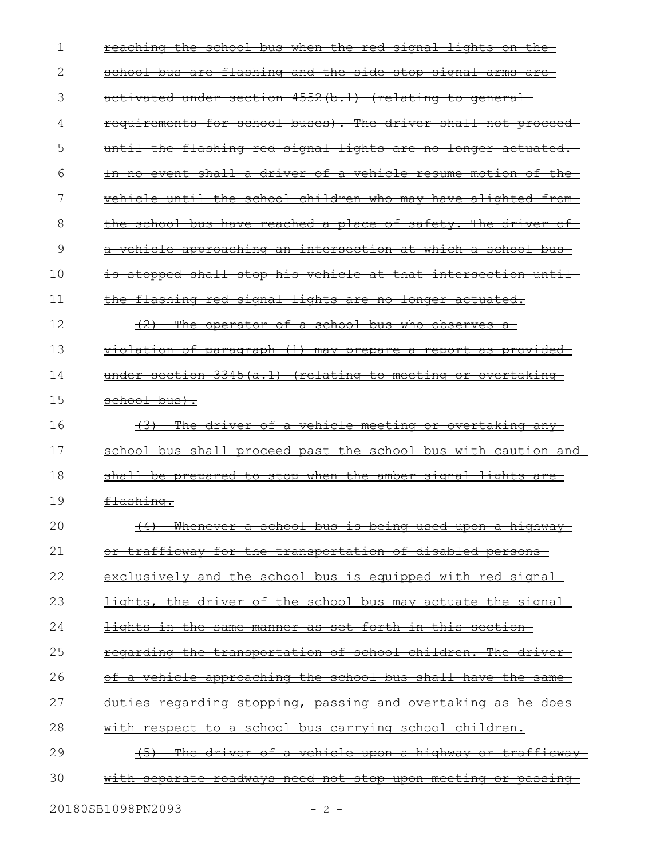| 1  | reaching the school bus when the red signal lights on the               |
|----|-------------------------------------------------------------------------|
| 2  | <u>school bus are flashing and the side stop signal arms are-</u>       |
| 3  | activated under section 4552(b.1) (relating to general                  |
| 4  | requirements for school buses). The driver shall not proceed            |
| 5  | until the flashing red signal lights are no longer actuated.            |
| 6  | In no event shall a driver of a vehicle resume motion of the            |
| 7  | vehicle until the school children who may have alighted from-           |
| 8  | the school bus have reached a place of safety. The driver of            |
| 9  | <del>a vehicle approaching an intersection at which a school bus-</del> |
| 10 | is stopped shall stop his vehicle at that intersection until-           |
| 11 | the flashing red signal lights are no longer actuated.                  |
| 12 | $+2+$<br>The operator of a school bus who observes a                    |
| 13 | violation of paragraph (1) may prepare a report as provided             |
| 14 | under section 3345(a.1) (relating to meeting or overtaking              |
| 15 | school bus).                                                            |
| 16 | (3) The driver of a vehicle meeting or overtaking any -                 |
| 17 | school bus shall proceed past the school bus with caution and           |
| 18 | shall be prepared to stop when the amber signal lights are-             |
| 19 |                                                                         |
|    | <del>flashing.</del>                                                    |
| 20 | (4) Whenever a school bus is being used upon a highway                  |
| 21 | or trafficway for the transportation of disabled persons                |
| 22 | <u>exclusively and the school bus is equipped with red signal-</u>      |
| 23 | lights, the driver of the school bus may actuate the signal             |
| 24 | <u>lights in the same manner as set forth in this section-</u>          |
| 25 | regarding the transportation of school children. The driver-            |
| 26 | <u>of a vehicle approaching the school bus shall have the same-</u>     |
| 27 | <u>duties regarding stopping, passing and overtaking as he does-</u>    |
| 28 | <u>with respect to a school bus carrying school children.</u>           |
| 29 | <u>The driver of a vehicle upon a highway or trafficway-</u>            |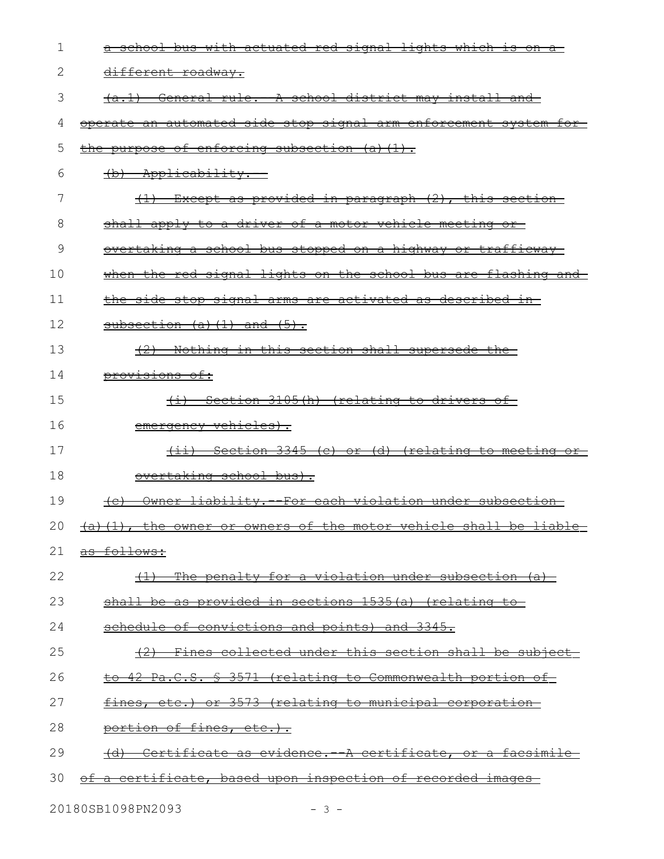| 1  | a school bus with actuated red signal lights which is on a                          |
|----|-------------------------------------------------------------------------------------|
| 2  | different roadway.                                                                  |
| 3  | (a.1) General rule. A school district may install and                               |
| 4  | operate an automated side stop signal arm enforcement system for-                   |
| 5  | the purpose of enforcing subsection (a)(1).                                         |
| 6  | (b) Applicability.                                                                  |
| 7  | (1) Except as provided in paragraph (2), this section                               |
| 8  | shall apply to a driver of a motor vehicle meeting or                               |
| 9  | <u>overtaking a school bus stopped on a highway or trafficway-</u>                  |
| 10 | when the red signal lights on the school bus are flashing and                       |
| 11 | the side stop signal arms are activated as described in-                            |
| 12 | subsection $(a)$ $(1)$ and $(5)$ .                                                  |
| 13 | (2) Nothing in this section shall supersede the                                     |
| 14 | <del>provisions of:</del>                                                           |
| 15 | (i) Section 3105(h) (relating to drivers of                                         |
| 16 | emergency vehicles).                                                                |
| 17 | <u>Section 3345 (c) or (d) (relating to meeting or-</u><br><del>(11)</del>          |
| 18 | overtaking school bus).                                                             |
| 19 | Owner liability. - For each violation under subsection<br><del>(c)</del>            |
|    | 20 $\rightarrow$ (a) (1), the owner or owners of the motor vehicle shall be liable- |
| 21 | as follows:                                                                         |
| 22 | The penalty for a violation under subsection (a)<br>$\left(\frac{1}{2}\right)$      |
| 23 | shall be as provided in sections 1535(a) (relating                                  |
| 24 | schedule of convictions and points) and 3345.                                       |
| 25 | Fines collected under this section shall be subject-                                |
| 26 | to 42 Pa.C.S. § 3571 (relating to Commonwealth portion of                           |
| 27 | fines, etc.) or 3573 (relating to municipal corporation                             |
| 28 | portion of fines, etc.).                                                            |
| 29 | Certificate as evidence. A certificate, or a facsimile                              |
| 30 | of a certificate, based upon inspection of recorded images                          |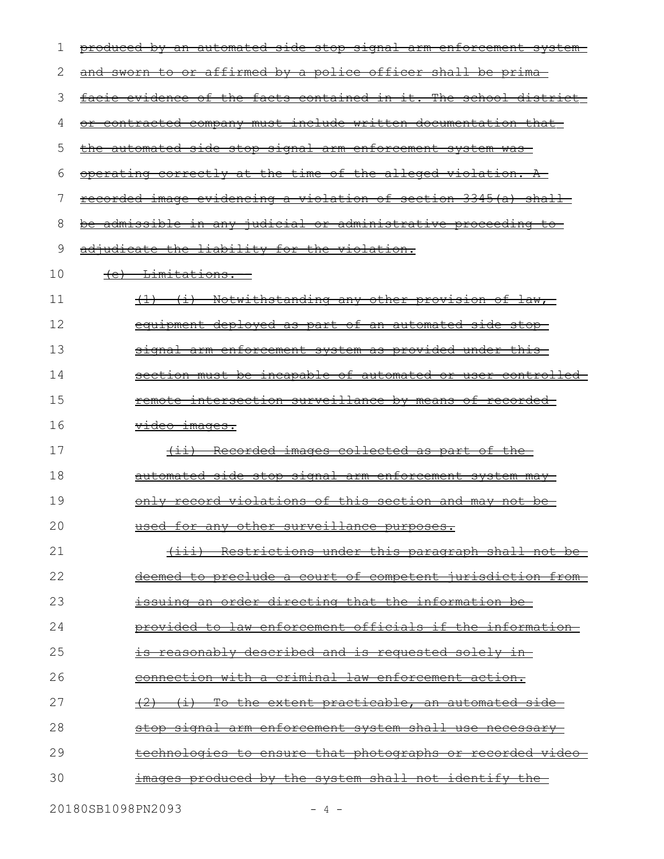| 1  | produced by an automated side stop signal arm enforcement system- |
|----|-------------------------------------------------------------------|
| 2  | and sworn to or affirmed by a police officer shall be prima       |
| 3  | facie evidence of the facts contained in it. The school district- |
| 4  | or contracted company must include written documentation that     |
| 5  | the automated side stop signal arm enforcement system was         |
| 6  | operating correctly at the time of the alleged violation. A       |
| 7  | recorded image evidencing a violation of section 3345(a) shall    |
| 8  | be admissible in any judicial or administrative proceeding to     |
| 9  | adjudicate the liability for the violation.                       |
| 10 | (e) Limitations.                                                  |
| 11 | <u>(1) (i) Notwithstanding any other provision of law, </u>       |
| 12 | equipment deployed as part of an automated side stop-             |
| 13 | signal arm enforcement system as provided under this-             |
| 14 | section must be incapable of automated or user controlled-        |
| 15 | remote intersection surveillance by means of recorded-            |
| 16 | <del>video images.</del>                                          |
| 17 | (ii) Recorded images collected as part of the                     |
| 18 | automated side stop signal arm enforcement system may-            |
| 19 | only record violations of this section and may not be-            |
| 20 | used for any other surveillance purposes                          |
| 21 | (iii) Restrictions under this paragraph shall not be              |
| 22 | <u>deemed to preclude a court of competent jurisdiction from-</u> |
| 23 | <u>issuing an order directing that the information be-</u>        |
| 24 | provided to law enforcement officials if the information-         |
| 25 | <u>is reasonably described and is requested solely in-</u>        |
| 26 | <u>connection with a criminal law enforcement action.</u>         |
| 27 | <u>(i) To the extent practicable, an automated side-</u>          |
| 28 | stop signal arm enforcement system shall use necessary            |
| 29 | <u>technologies to ensure that photographs or recorded video-</u> |
| 30 | <u>images produced by the system shall not identify the </u>      |
|    |                                                                   |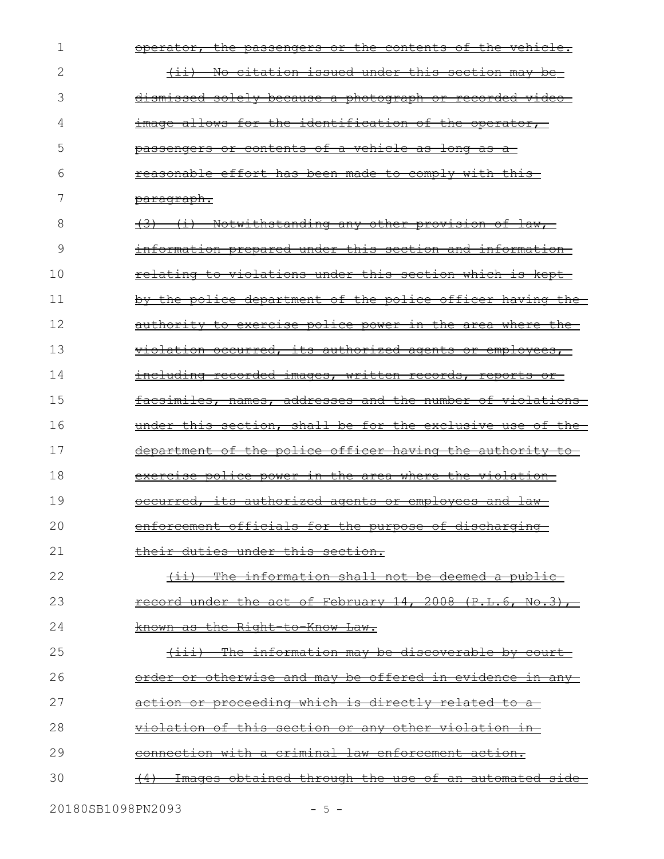| 1  | operator, the passengers or the contents of the vehicle.    |
|----|-------------------------------------------------------------|
| 2  | (ii) No citation issued under this section may be-          |
| 3  | dismissed solely because a photograph or recorded video-    |
| 4  | image allows for the identification of the operator,        |
| 5  | passengers or contents of a vehicle as long as a            |
| 6  | reasonable effort has been made to comply with this-        |
| 7  | <u>paragraph.</u>                                           |
| 8  | <u>(3) (i) Notwithstanding any other provision of law, </u> |
| 9  | information prepared under this section and information     |
| 10 | relating to violations under this section which is kept-    |
| 11 | by the police department of the police officer having the   |
| 12 | authority to exercise police power in the area where the-   |
| 13 | violation occurred, its authorized agents or employees,     |
| 14 | including recorded images, written records, reports or      |
| 15 | facsimiles, names, addresses and the number of violations   |
| 16 | under this section, shall be for the exclusive use of the   |
| 17 | department of the police officer having the authority to    |
| 18 | exercise police power in the area where the violation-      |
| 19 | occurred, its authorized agents or employees and law-       |
| 20 | enforcement officials for the purpose of discharging        |
| 21 | their duties under this section.                            |
| 22 | (ii) The information shall not be deemed a public-          |
| 23 | record under the act of February 14, 2008 (P.L.6, No.3),    |
| 24 | known as the Right-to-Know Law.                             |
| 25 | (iii) The information may be discoverable by court-         |
| 26 | order or otherwise and may be offered in evidence in any-   |
| 27 | <u>action or proceeding which is directly related to a-</u> |
| 28 | <u>violation of this section or any other violation in-</u> |
| 29 | connection with a criminal law enforcement action.          |
| 30 | Images obtained through the use of an automated side        |
|    |                                                             |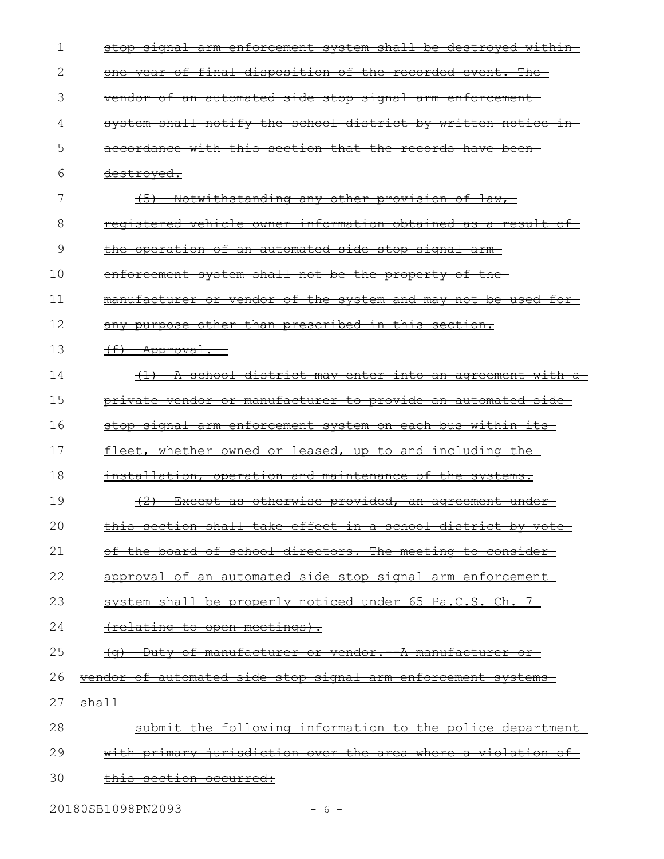| 1  | stop signal arm enforcement system shall be destroyed within-                       |
|----|-------------------------------------------------------------------------------------|
| 2  | <u>one year of final disposition of the recorded event. The </u>                    |
| 3  | <u>vendor of an automated side stop signal arm enforcement-</u>                     |
| 4  | system shall notify the school district by written notice in-                       |
| 5  | accordance with this section that the records have been-                            |
| 6  | <del>destroyed.</del>                                                               |
| 7  | Notwithstanding any other provision of law,                                         |
| 8  | registered vehicle owner information obtained as a result of                        |
| 9  | the operation of an automated side stop signal arm-                                 |
| 10 | enforcement system shall not be the property of the-                                |
| 11 | manufacturer or vendor of the system and may not be used for-                       |
| 12 | any purpose other than prescribed in this section.                                  |
| 13 | $\leftarrow$ + $\leftarrow$ Approval.                                               |
| 14 | (1) A school district may enter into an agreement with<br>$\frac{}{\mathrm{a}^{-}}$ |
| 15 | private vendor or manufacturer to provide an automated side                         |
| 16 | stop signal arm enforcement system on each bus within its                           |
| 17 | <u>fleet, whether owned or leased, up to and including the </u>                     |
| 18 | installation, operation and maintenance of the systems.                             |
| 19 | Except as otherwise provided, an agreement under-                                   |
| 20 | this section shall take effect in a school district by yote                         |
| 21 | of the board of school directors. The meeting to consider-                          |
| 22 | approval of an automated side stop signal arm enforcement                           |
| 23 | system shall be properly noticed under 65 Pa.C.S. Ch. 7                             |
| 24 | <u>(relating to open meetings).</u>                                                 |
| 25 | (g) Duty of manufacturer or vendor. A manufacturer or                               |
| 26 | <u>vendor of automated side stop signal arm enforcement systems</u>                 |
| 27 | <del>shall</del>                                                                    |
| 28 | submit the following information to the police department                           |
| 29 | with primary jurisdiction over the area where a violation of                        |
| 30 | this section occurred:                                                              |
|    |                                                                                     |

20180SB1098PN2093 - 6 -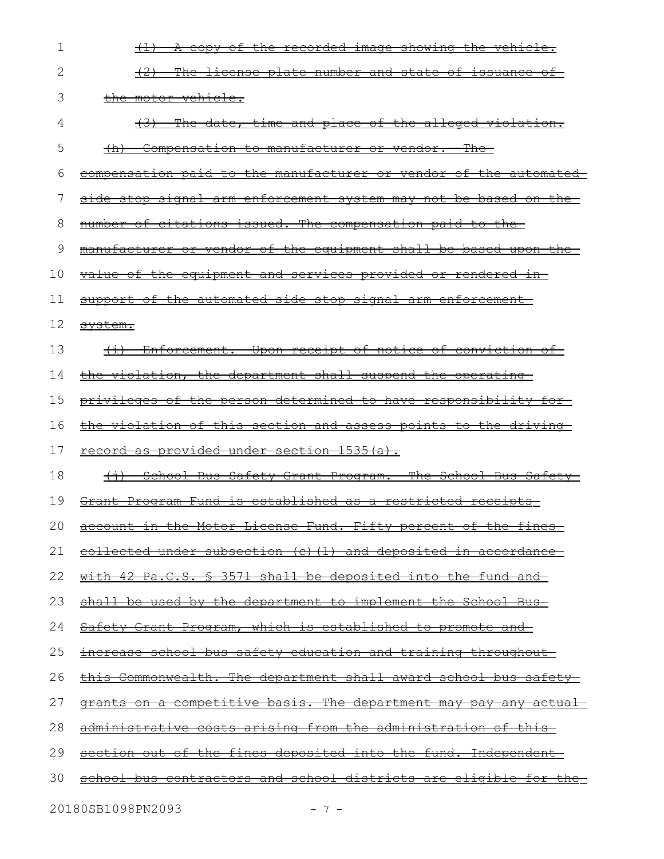| 2<br>(2) The license plate number and state of issuance of<br>3<br>the motor vehicle.<br>(3) The date, time and place of the alleged violation.<br>4<br>5<br><u>(h) Compensation to manufacturer or vendor. The </u><br>6<br>7<br>number of citations issued. The compensation paid to the<br>8<br>9<br>10<br><u>value of the equipment and services provided or rendered in-</u><br>11<br>support of the automated side stop signal arm enforcement<br>12<br>svstem.<br>13<br>(i) Enforcement. Upon receipt of notice of conviction of<br>14<br>the violation, the department shall suspend the operating<br>15<br>16<br>17<br>record as provided under section 1535(a).<br>18<br>19<br>Grant Program Fund is established as a restricted receipts-<br>20<br>account in the Motor License Fund. Fifty percent of the fines<br>21<br><u>collected under subsection (c)(1) and deposited in accordance</u><br>22<br>with 42 Pa.C.S. § 3571 shall be deposited into the fund and<br>23<br>shall be used by the department to implement the School Bus-<br>24<br><u>Safety Grant Program, which is established to promote and</u><br>25<br><u>increase school bus safety education and training throughout-</u><br>26<br>27<br>28<br>administrative costs arising from the administration of this<br>29<br>section out of the fines deposited into the fund. Independent<br>30 | 1 | (1) A copy of the recorded image showing the vehicle.                    |
|-----------------------------------------------------------------------------------------------------------------------------------------------------------------------------------------------------------------------------------------------------------------------------------------------------------------------------------------------------------------------------------------------------------------------------------------------------------------------------------------------------------------------------------------------------------------------------------------------------------------------------------------------------------------------------------------------------------------------------------------------------------------------------------------------------------------------------------------------------------------------------------------------------------------------------------------------------------------------------------------------------------------------------------------------------------------------------------------------------------------------------------------------------------------------------------------------------------------------------------------------------------------------------------------------------------------------------------------------------------------------------|---|--------------------------------------------------------------------------|
|                                                                                                                                                                                                                                                                                                                                                                                                                                                                                                                                                                                                                                                                                                                                                                                                                                                                                                                                                                                                                                                                                                                                                                                                                                                                                                                                                                             |   |                                                                          |
|                                                                                                                                                                                                                                                                                                                                                                                                                                                                                                                                                                                                                                                                                                                                                                                                                                                                                                                                                                                                                                                                                                                                                                                                                                                                                                                                                                             |   |                                                                          |
|                                                                                                                                                                                                                                                                                                                                                                                                                                                                                                                                                                                                                                                                                                                                                                                                                                                                                                                                                                                                                                                                                                                                                                                                                                                                                                                                                                             |   |                                                                          |
|                                                                                                                                                                                                                                                                                                                                                                                                                                                                                                                                                                                                                                                                                                                                                                                                                                                                                                                                                                                                                                                                                                                                                                                                                                                                                                                                                                             |   |                                                                          |
|                                                                                                                                                                                                                                                                                                                                                                                                                                                                                                                                                                                                                                                                                                                                                                                                                                                                                                                                                                                                                                                                                                                                                                                                                                                                                                                                                                             |   | <u>compensation paid to the manufacturer or vendor of the automated-</u> |
|                                                                                                                                                                                                                                                                                                                                                                                                                                                                                                                                                                                                                                                                                                                                                                                                                                                                                                                                                                                                                                                                                                                                                                                                                                                                                                                                                                             |   | side stop signal arm enforcement system may not be based on the          |
|                                                                                                                                                                                                                                                                                                                                                                                                                                                                                                                                                                                                                                                                                                                                                                                                                                                                                                                                                                                                                                                                                                                                                                                                                                                                                                                                                                             |   |                                                                          |
|                                                                                                                                                                                                                                                                                                                                                                                                                                                                                                                                                                                                                                                                                                                                                                                                                                                                                                                                                                                                                                                                                                                                                                                                                                                                                                                                                                             |   | manufacturer or vendor of the equipment shall be based upon the          |
|                                                                                                                                                                                                                                                                                                                                                                                                                                                                                                                                                                                                                                                                                                                                                                                                                                                                                                                                                                                                                                                                                                                                                                                                                                                                                                                                                                             |   |                                                                          |
|                                                                                                                                                                                                                                                                                                                                                                                                                                                                                                                                                                                                                                                                                                                                                                                                                                                                                                                                                                                                                                                                                                                                                                                                                                                                                                                                                                             |   |                                                                          |
|                                                                                                                                                                                                                                                                                                                                                                                                                                                                                                                                                                                                                                                                                                                                                                                                                                                                                                                                                                                                                                                                                                                                                                                                                                                                                                                                                                             |   |                                                                          |
|                                                                                                                                                                                                                                                                                                                                                                                                                                                                                                                                                                                                                                                                                                                                                                                                                                                                                                                                                                                                                                                                                                                                                                                                                                                                                                                                                                             |   |                                                                          |
|                                                                                                                                                                                                                                                                                                                                                                                                                                                                                                                                                                                                                                                                                                                                                                                                                                                                                                                                                                                                                                                                                                                                                                                                                                                                                                                                                                             |   |                                                                          |
|                                                                                                                                                                                                                                                                                                                                                                                                                                                                                                                                                                                                                                                                                                                                                                                                                                                                                                                                                                                                                                                                                                                                                                                                                                                                                                                                                                             |   | privileges of the person determined to have responsibility for           |
|                                                                                                                                                                                                                                                                                                                                                                                                                                                                                                                                                                                                                                                                                                                                                                                                                                                                                                                                                                                                                                                                                                                                                                                                                                                                                                                                                                             |   | the violation of this section and assess points to the driving           |
|                                                                                                                                                                                                                                                                                                                                                                                                                                                                                                                                                                                                                                                                                                                                                                                                                                                                                                                                                                                                                                                                                                                                                                                                                                                                                                                                                                             |   |                                                                          |
|                                                                                                                                                                                                                                                                                                                                                                                                                                                                                                                                                                                                                                                                                                                                                                                                                                                                                                                                                                                                                                                                                                                                                                                                                                                                                                                                                                             |   | (i) School Bus Safety Grant Program. The School Bus Safety               |
|                                                                                                                                                                                                                                                                                                                                                                                                                                                                                                                                                                                                                                                                                                                                                                                                                                                                                                                                                                                                                                                                                                                                                                                                                                                                                                                                                                             |   |                                                                          |
|                                                                                                                                                                                                                                                                                                                                                                                                                                                                                                                                                                                                                                                                                                                                                                                                                                                                                                                                                                                                                                                                                                                                                                                                                                                                                                                                                                             |   |                                                                          |
|                                                                                                                                                                                                                                                                                                                                                                                                                                                                                                                                                                                                                                                                                                                                                                                                                                                                                                                                                                                                                                                                                                                                                                                                                                                                                                                                                                             |   |                                                                          |
|                                                                                                                                                                                                                                                                                                                                                                                                                                                                                                                                                                                                                                                                                                                                                                                                                                                                                                                                                                                                                                                                                                                                                                                                                                                                                                                                                                             |   |                                                                          |
|                                                                                                                                                                                                                                                                                                                                                                                                                                                                                                                                                                                                                                                                                                                                                                                                                                                                                                                                                                                                                                                                                                                                                                                                                                                                                                                                                                             |   |                                                                          |
|                                                                                                                                                                                                                                                                                                                                                                                                                                                                                                                                                                                                                                                                                                                                                                                                                                                                                                                                                                                                                                                                                                                                                                                                                                                                                                                                                                             |   |                                                                          |
|                                                                                                                                                                                                                                                                                                                                                                                                                                                                                                                                                                                                                                                                                                                                                                                                                                                                                                                                                                                                                                                                                                                                                                                                                                                                                                                                                                             |   |                                                                          |
|                                                                                                                                                                                                                                                                                                                                                                                                                                                                                                                                                                                                                                                                                                                                                                                                                                                                                                                                                                                                                                                                                                                                                                                                                                                                                                                                                                             |   | this Commonwealth. The department shall award school bus safety          |
|                                                                                                                                                                                                                                                                                                                                                                                                                                                                                                                                                                                                                                                                                                                                                                                                                                                                                                                                                                                                                                                                                                                                                                                                                                                                                                                                                                             |   | grants on a competitive basis. The department may pay any actual         |
|                                                                                                                                                                                                                                                                                                                                                                                                                                                                                                                                                                                                                                                                                                                                                                                                                                                                                                                                                                                                                                                                                                                                                                                                                                                                                                                                                                             |   |                                                                          |
|                                                                                                                                                                                                                                                                                                                                                                                                                                                                                                                                                                                                                                                                                                                                                                                                                                                                                                                                                                                                                                                                                                                                                                                                                                                                                                                                                                             |   |                                                                          |
|                                                                                                                                                                                                                                                                                                                                                                                                                                                                                                                                                                                                                                                                                                                                                                                                                                                                                                                                                                                                                                                                                                                                                                                                                                                                                                                                                                             |   | school bus contractors and school districts are eligible for the         |

20180SB1098PN2093 - 7 -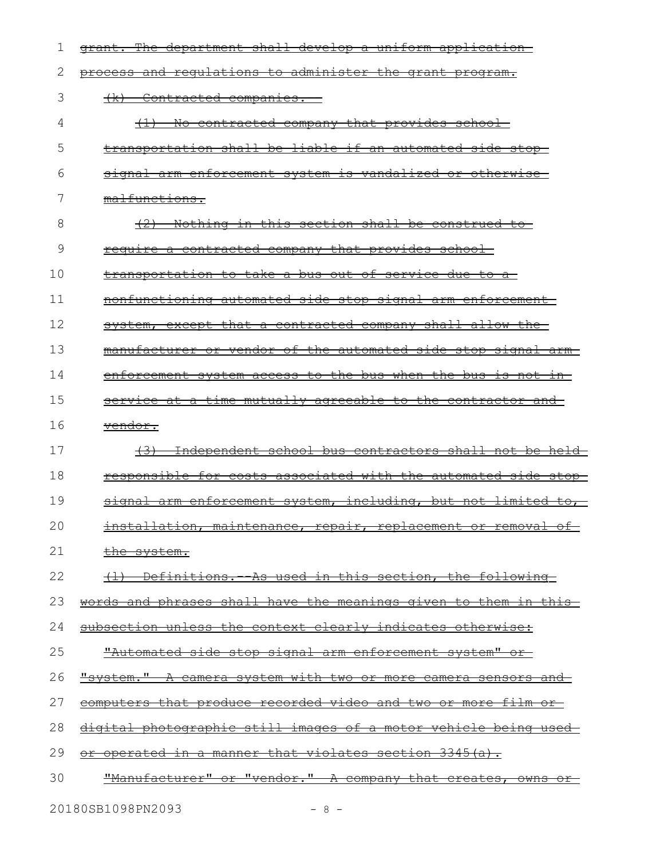| 1  | grant. The department shall develop a uniform application-              |
|----|-------------------------------------------------------------------------|
| 2  | process and requlations to administer the grant program.                |
| 3  | Contracted companies.<br>$+x$                                           |
| 4  | <u>No contracted company that provides school</u>                       |
| 5  | transportation shall be liable if an automated side stop-               |
| 6  | <u>signal arm enforcement system is vandalized or otherwise-</u>        |
| 7  | malfunctions.                                                           |
| 8  | Nothing in this section shall be construed to                           |
| 9  | require a contracted company that provides school-                      |
| 10 | transportation to take a bus out of service due to a-                   |
| 11 | nonfunctioning automated side stop signal arm enforcement-              |
| 12 | system, except that a contracted company shall allow the                |
| 13 | manufacturer or vendor of the automated side stop signal arm-           |
| 14 | enforcement system access to the bus when the bus is not in-            |
| 15 | service at a time mutually agreeable to the contractor and              |
| 16 | <del>vendor.</del>                                                      |
| 17 | (3) Independent school bus contractors shall not be held                |
| 18 | <u>responsible for costs associated with the automated side stop-</u>   |
| 19 | signal arm enforcement system, including, but not limited to,           |
| 20 | installation, maintenance, repair, replacement or removal of            |
| 21 | <u>the system.</u>                                                      |
| 22 | <u>(1) Definitions. As used in this section, the following-</u>         |
| 23 | words and phrases shall have the meanings given to them in this-        |
| 24 | subsection unless the context clearly indicates otherwise:              |
| 25 | "Automated side stop signal arm enforcement system" or                  |
| 26 | <u>"system." A camera system with two or more camera sensors and-</u>   |
| 27 | <u>computers that produce recorded video and two or more film or-</u>   |
| 28 | <u>digital photographic still images of a motor vehicle being used-</u> |
| 29 | or operated in a manner that violates section 3345(a).                  |
| 30 | "Manufacturer" or "vendor." A company that creates, owns or             |
|    |                                                                         |

20180SB1098PN2093 - 8 -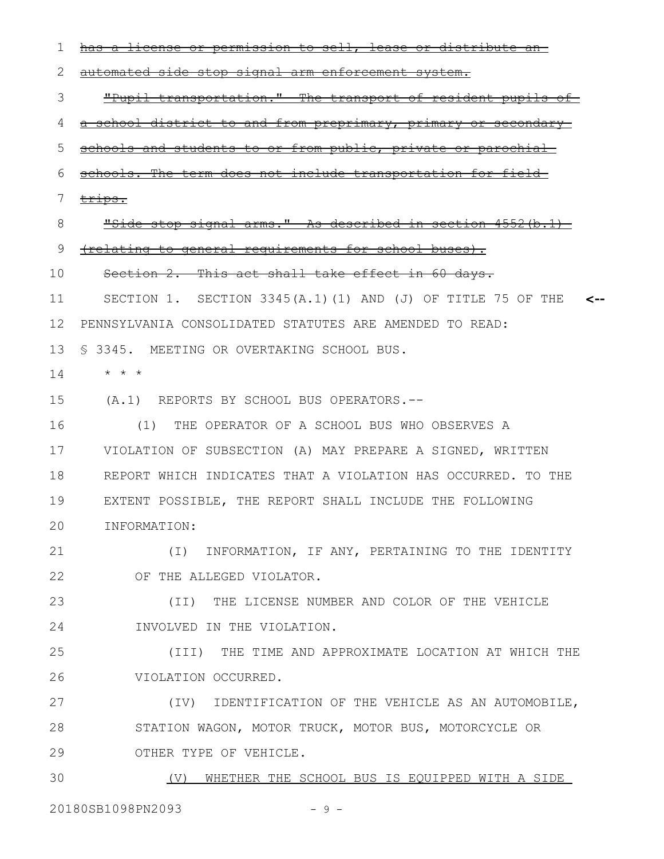has a license or permission to sell, lease or distribute an automated side stop signal arm enforcement system. "Pupil transportation." The transport of resident pupils of a school district to and from preprimary, primary or secondary schools and students to or from public, private or parochial schools. The term does not include transportation for field trips. "Side stop signal arms." As described in section 4552(b.1) (relating to general requirements for school buses). Section 2. This act shall take effect in 60 days. SECTION 1. SECTION 3345(A.1)(1) AND (J) OF TITLE 75 OF THE **<--** PENNSYLVANIA CONSOLIDATED STATUTES ARE AMENDED TO READ: § 3345. MEETING OR OVERTAKING SCHOOL BUS. 13 \* \* \* (A.1) REPORTS BY SCHOOL BUS OPERATORS.-- (1) THE OPERATOR OF A SCHOOL BUS WHO OBSERVES A VIOLATION OF SUBSECTION (A) MAY PREPARE A SIGNED, WRITTEN REPORT WHICH INDICATES THAT A VIOLATION HAS OCCURRED. TO THE EXTENT POSSIBLE, THE REPORT SHALL INCLUDE THE FOLLOWING INFORMATION: (I) INFORMATION, IF ANY, PERTAINING TO THE IDENTITY OF THE ALLEGED VIOLATOR. (II) THE LICENSE NUMBER AND COLOR OF THE VEHICLE INVOLVED IN THE VIOLATION. (III) THE TIME AND APPROXIMATE LOCATION AT WHICH THE VIOLATION OCCURRED. (IV) IDENTIFICATION OF THE VEHICLE AS AN AUTOMOBILE, STATION WAGON, MOTOR TRUCK, MOTOR BUS, MOTORCYCLE OR OTHER TYPE OF VEHICLE. (V) WHETHER THE SCHOOL BUS IS EQUIPPED WITH A SIDE 1 2 3 4 5 6 7 8 9 10 11 12 14 15 16 17 18 19 20 21 22 23 24 25 26 27 28 29 30

20180SB1098PN2093 - 9 -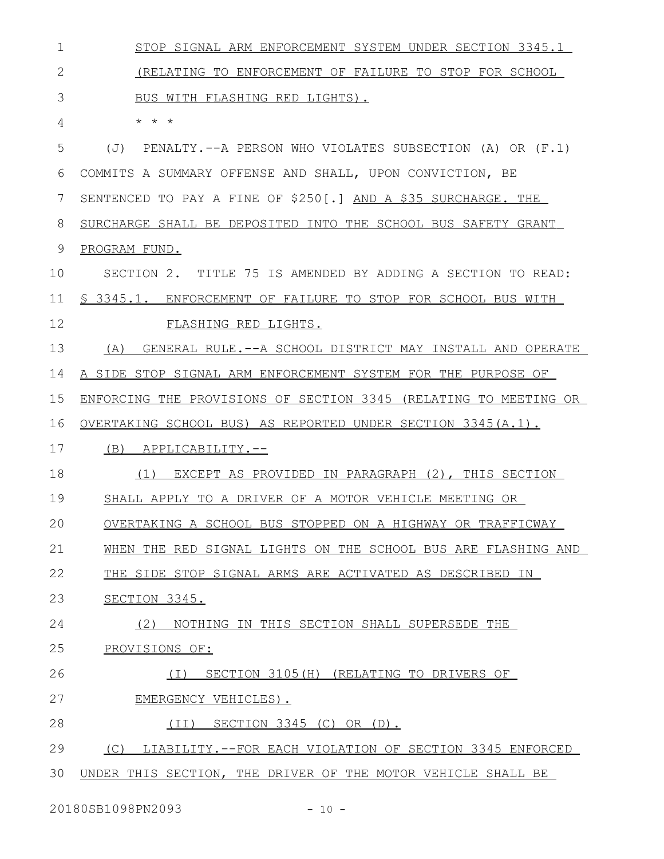| 1  | STOP SIGNAL ARM ENFORCEMENT SYSTEM UNDER SECTION 3345.1          |
|----|------------------------------------------------------------------|
| 2  | (RELATING TO ENFORCEMENT OF FAILURE TO STOP FOR SCHOOL           |
| 3  | BUS WITH FLASHING RED LIGHTS).                                   |
| 4  | $\star$ $\star$ $\star$                                          |
| 5  | PENALTY.--A PERSON WHO VIOLATES SUBSECTION (A) OR (F.1)<br>(T)   |
| 6  | COMMITS A SUMMARY OFFENSE AND SHALL, UPON CONVICTION, BE         |
| 7  | SENTENCED TO PAY A FINE OF \$250[.] AND A \$35 SURCHARGE. THE    |
| 8  | SURCHARGE SHALL BE DEPOSITED INTO THE SCHOOL BUS SAFETY GRANT    |
| 9  | PROGRAM FUND.                                                    |
| 10 | SECTION 2. TITLE 75 IS AMENDED BY ADDING A SECTION TO READ:      |
| 11 | \$ 3345.1. ENFORCEMENT OF FAILURE TO STOP FOR SCHOOL BUS WITH    |
| 12 | FLASHING RED LIGHTS.                                             |
| 13 | (A) GENERAL RULE.--A SCHOOL DISTRICT MAY INSTALL AND OPERATE     |
| 14 | A SIDE STOP SIGNAL ARM ENFORCEMENT SYSTEM FOR THE PURPOSE OF     |
| 15 | ENFORCING THE PROVISIONS OF SECTION 3345 (RELATING TO MEETING OR |
| 16 | OVERTAKING SCHOOL BUS) AS REPORTED UNDER SECTION 3345 (A.1).     |
| 17 | (B) APPLICABILITY.--                                             |
| 18 | (1) EXCEPT AS PROVIDED IN PARAGRAPH (2), THIS SECTION            |
| 19 | SHALL APPLY TO A DRIVER OF A MOTOR VEHICLE MEETING OR            |
| 20 | OVERTAKING A SCHOOL BUS STOPPED ON A HIGHWAY OR TRAFFICWAY       |
| 21 | WHEN THE RED SIGNAL LIGHTS ON THE SCHOOL BUS ARE FLASHING AND    |
| 22 | THE SIDE STOP SIGNAL ARMS ARE ACTIVATED AS DESCRIBED IN          |
| 23 | SECTION 3345.                                                    |
| 24 | (2)<br>NOTHING IN THIS SECTION SHALL SUPERSEDE THE               |
| 25 | PROVISIONS OF:                                                   |
| 26 | SECTION 3105(H) (RELATING TO DRIVERS OF<br>(T)                   |
| 27 | EMERGENCY VEHICLES).                                             |
| 28 | SECTION 3345 (C) OR (D).<br>(II)                                 |
| 29 | LIABILITY.--FOR EACH VIOLATION OF SECTION 3345 ENFORCED<br>(C)   |
| 30 | UNDER THIS SECTION, THE DRIVER OF THE MOTOR VEHICLE SHALL BE     |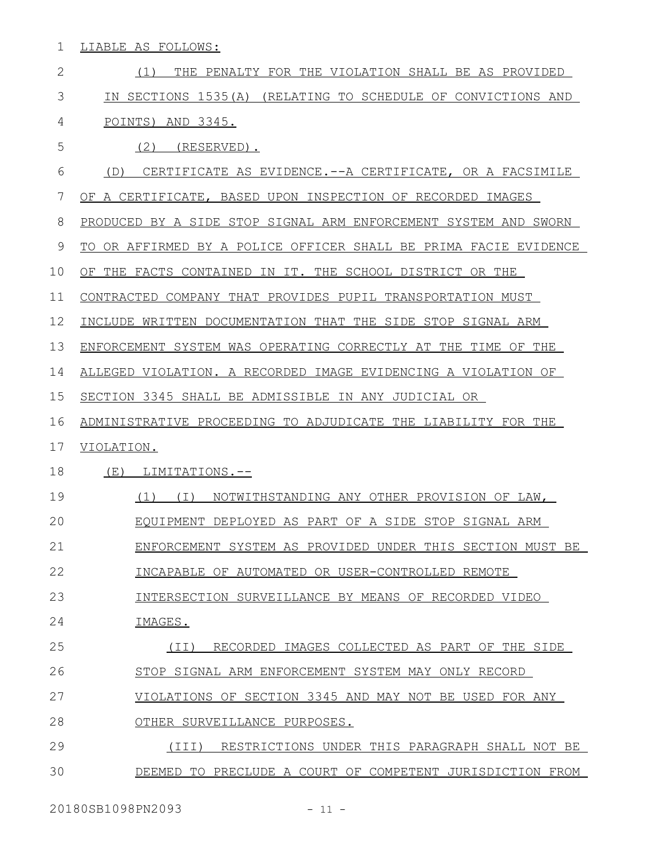1 LIABLE AS FOLLOWS:

| $\overline{2}$ | THE PENALTY FOR THE VIOLATION SHALL BE AS PROVIDED<br>(1)        |
|----------------|------------------------------------------------------------------|
| 3              | IN SECTIONS 1535(A) (RELATING TO SCHEDULE OF CONVICTIONS AND     |
| 4              | POINTS) AND 3345.                                                |
| 5              | $(2)$ (RESERVED).                                                |
| 6              | CERTIFICATE AS EVIDENCE.--A CERTIFICATE, OR A FACSIMILE<br>(D)   |
| 7              | OF A CERTIFICATE, BASED UPON INSPECTION OF RECORDED IMAGES       |
| 8              | PRODUCED BY A SIDE STOP SIGNAL ARM ENFORCEMENT SYSTEM AND SWORN  |
| 9              | TO OR AFFIRMED BY A POLICE OFFICER SHALL BE PRIMA FACIE EVIDENCE |
| 10             | OF THE FACTS CONTAINED IN IT. THE SCHOOL DISTRICT OR THE         |
| 11             | CONTRACTED COMPANY THAT PROVIDES PUPIL TRANSPORTATION MUST       |
| 12             | INCLUDE WRITTEN DOCUMENTATION THAT THE SIDE STOP SIGNAL ARM      |
| 13             | ENFORCEMENT SYSTEM WAS OPERATING CORRECTLY AT THE TIME OF THE    |
| 14             | ALLEGED VIOLATION. A RECORDED IMAGE EVIDENCING A VIOLATION OF    |
| 15             | SECTION 3345 SHALL BE ADMISSIBLE IN ANY JUDICIAL OR              |
| 16             | ADMINISTRATIVE PROCEEDING TO ADJUDICATE THE LIABILITY FOR THE    |
| 17             | VIOLATION.                                                       |
| 18             | LIMITATIONS.--<br>(E)                                            |
| 19             | (1)<br>NOTWITHSTANDING ANY OTHER PROVISION OF LAW,<br>( I )      |
| 20             | EOUIPMENT DEPLOYED AS PART OF A SIDE STOP SIGNAL ARM             |
| 21             | ENFORCEMENT SYSTEM AS PROVIDED UNDER THIS SECTION MUST BE        |
| 22             | INCAPABLE OF AUTOMATED OR USER-CONTROLLED REMOTE                 |
| 23             | INTERSECTION SURVEILLANCE BY MEANS OF RECORDED VIDEO             |
| 24             | IMAGES.                                                          |
| 25             | (II) RECORDED IMAGES COLLECTED AS PART OF THE SIDE               |
| 26             | STOP SIGNAL ARM ENFORCEMENT SYSTEM MAY ONLY RECORD               |
| 27             | VIOLATIONS OF SECTION 3345 AND MAY NOT BE USED FOR ANY           |
| 28             | OTHER SURVEILLANCE PURPOSES.                                     |
| 29             | (III)<br>RESTRICTIONS UNDER THIS PARAGRAPH SHALL NOT BE          |
| 30             | DEEMED TO PRECLUDE A COURT OF COMPETENT JURISDICTION FROM        |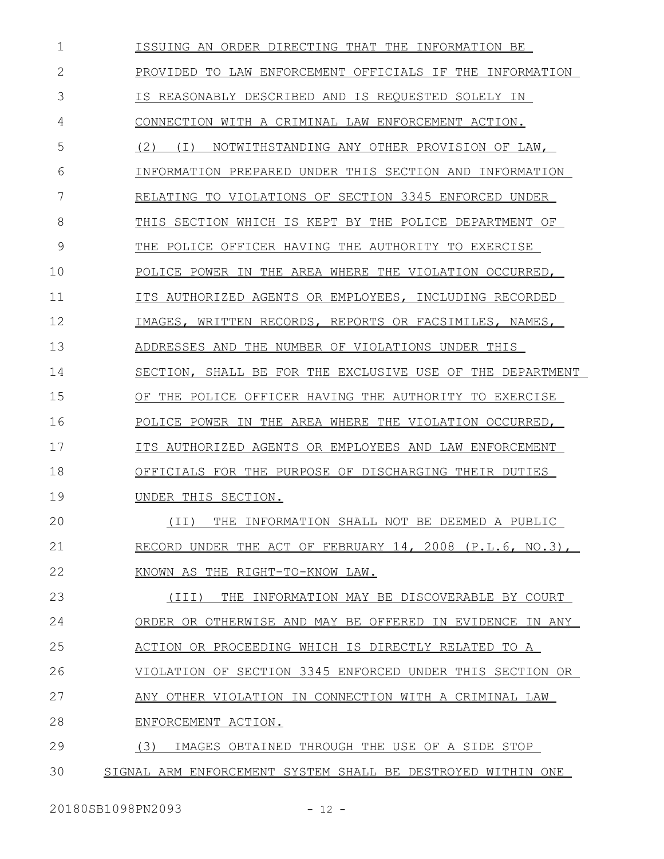ISSUING AN ORDER DIRECTING THAT THE INFORMATION BE PROVIDED TO LAW ENFORCEMENT OFFICIALS IF THE INFORMATION IS REASONABLY DESCRIBED AND IS REQUESTED SOLELY IN CONNECTION WITH A CRIMINAL LAW ENFORCEMENT ACTION. (2) (I) NOTWITHSTANDING ANY OTHER PROVISION OF LAW, INFORMATION PREPARED UNDER THIS SECTION AND INFORMATION RELATING TO VIOLATIONS OF SECTION 3345 ENFORCED UNDER THIS SECTION WHICH IS KEPT BY THE POLICE DEPARTMENT OF THE POLICE OFFICER HAVING THE AUTHORITY TO EXERCISE POLICE POWER IN THE AREA WHERE THE VIOLATION OCCURRED, ITS AUTHORIZED AGENTS OR EMPLOYEES, INCLUDING RECORDED IMAGES, WRITTEN RECORDS, REPORTS OR FACSIMILES, NAMES, ADDRESSES AND THE NUMBER OF VIOLATIONS UNDER THIS SECTION, SHALL BE FOR THE EXCLUSIVE USE OF THE DEPARTMENT OF THE POLICE OFFICER HAVING THE AUTHORITY TO EXERCISE POLICE POWER IN THE AREA WHERE THE VIOLATION OCCURRED, ITS AUTHORIZED AGENTS OR EMPLOYEES AND LAW ENFORCEMENT OFFICIALS FOR THE PURPOSE OF DISCHARGING THEIR DUTIES UNDER THIS SECTION. (II) THE INFORMATION SHALL NOT BE DEEMED A PUBLIC RECORD UNDER THE ACT OF FEBRUARY 14, 2008 (P.L.6, NO.3), KNOWN AS THE RIGHT-TO-KNOW LAW. (III) THE INFORMATION MAY BE DISCOVERABLE BY COURT ORDER OR OTHERWISE AND MAY BE OFFERED IN EVIDENCE IN ANY ACTION OR PROCEEDING WHICH IS DIRECTLY RELATED TO A VIOLATION OF SECTION 3345 ENFORCED UNDER THIS SECTION OR ANY OTHER VIOLATION IN CONNECTION WITH A CRIMINAL LAW ENFORCEMENT ACTION. (3) IMAGES OBTAINED THROUGH THE USE OF A SIDE STOP SIGNAL ARM ENFORCEMENT SYSTEM SHALL BE DESTROYED WITHIN ONE 1 2 3 4 5 6 7 8 9 10 11 12 13 14 15 16 17 18 19  $20$ 21 22 23 24 25 26 27 28 29 30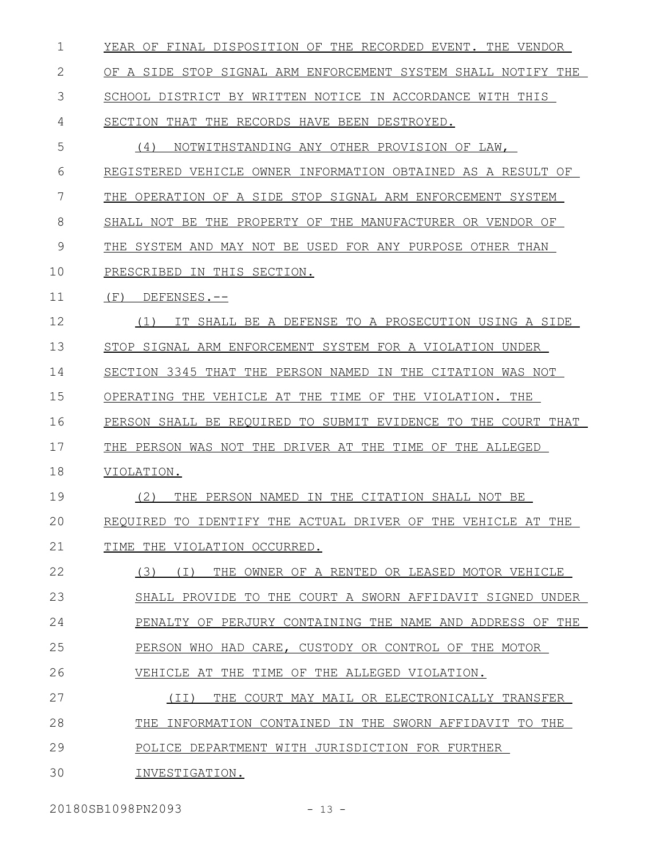| 1  | YEAR OF FINAL DISPOSITION OF THE RECORDED EVENT. THE VENDOR    |
|----|----------------------------------------------------------------|
| 2  | OF A SIDE STOP SIGNAL ARM ENFORCEMENT SYSTEM SHALL NOTIFY THE  |
| 3  | SCHOOL DISTRICT BY WRITTEN NOTICE IN ACCORDANCE WITH THIS      |
| 4  | SECTION THAT THE RECORDS HAVE BEEN DESTROYED.                  |
| 5  | NOTWITHSTANDING ANY OTHER PROVISION OF LAW,<br>(4)             |
| 6  | REGISTERED VEHICLE OWNER INFORMATION OBTAINED AS A RESULT OF   |
| 7  | THE OPERATION OF A SIDE STOP SIGNAL ARM ENFORCEMENT SYSTEM     |
| 8  | SHALL NOT BE THE PROPERTY OF THE MANUFACTURER OR VENDOR OF     |
| 9  | THE SYSTEM AND MAY NOT BE USED FOR ANY PURPOSE OTHER THAN      |
| 10 | PRESCRIBED IN THIS SECTION.                                    |
| 11 | (F)<br>DEFENSES.--                                             |
| 12 | (1)<br>SHALL BE A DEFENSE TO A PROSECUTION USING A SIDE        |
| 13 | STOP SIGNAL ARM ENFORCEMENT SYSTEM FOR A VIOLATION UNDER       |
| 14 | SECTION 3345 THAT THE PERSON NAMED<br>IN THE CITATION WAS NOT  |
| 15 | OPERATING THE VEHICLE AT THE TIME OF THE VIOLATION. THE        |
| 16 | PERSON SHALL BE REOUIRED TO SUBMIT EVIDENCE TO THE COURT THAT  |
| 17 | THE PERSON WAS NOT THE DRIVER AT THE TIME OF THE ALLEGED       |
| 18 | VIOLATION.                                                     |
| 19 | (2)<br>THE PERSON NAMED IN THE CITATION SHALL NOT BE           |
| 20 | REQUIRED TO IDENTIFY THE ACTUAL DRIVER OF THE VEHICLE AT THE   |
| 21 | TIME THE VIOLATION OCCURRED.                                   |
| 22 | (3)<br>THE OWNER OF A RENTED OR LEASED MOTOR VEHICLE<br>( I )  |
| 23 | SHALL PROVIDE TO THE COURT A SWORN AFFIDAVIT SIGNED UNDER      |
| 24 | PENALTY OF PERJURY CONTAINING THE NAME AND ADDRESS OF THE      |
| 25 | PERSON WHO HAD CARE, CUSTODY OR CONTROL OF THE MOTOR           |
| 26 | VEHICLE AT THE<br>TIME OF THE ALLEGED VIOLATION.               |
| 27 | (TT)<br>THE COURT MAY MAIL OR ELECTRONICALLY TRANSFER          |
| 28 | THE<br>INFORMATION CONTAINED IN THE SWORN AFFIDAVIT TO<br>THE. |
| 29 |                                                                |
|    | POLICE DEPARTMENT WITH JURISDICTION FOR FURTHER                |

20180SB1098PN2093 - 13 -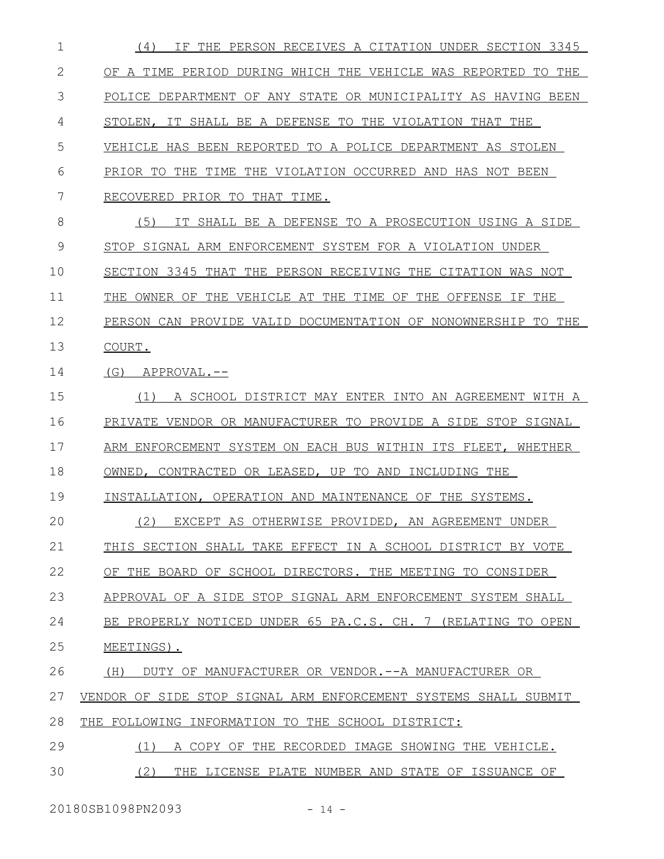| $\mathbf{1}$ | THE PERSON RECEIVES A CITATION UNDER SECTION 3345<br>(4)<br>TF. |
|--------------|-----------------------------------------------------------------|
| 2            | OF A TIME PERIOD DURING WHICH THE VEHICLE WAS REPORTED TO THE   |
| 3            | POLICE DEPARTMENT OF ANY STATE OR MUNICIPALITY AS HAVING BEEN   |
| 4            | STOLEN, IT SHALL BE A DEFENSE TO THE VIOLATION THAT THE         |
| 5            | VEHICLE HAS BEEN REPORTED TO A POLICE DEPARTMENT AS STOLEN      |
| 6            | PRIOR TO THE TIME THE VIOLATION OCCURRED AND HAS NOT BEEN       |
| 7            | RECOVERED PRIOR TO THAT TIME.                                   |
| 8            | (5)<br>IT SHALL BE A DEFENSE TO A PROSECUTION USING A SIDE      |
| 9            | STOP SIGNAL ARM ENFORCEMENT SYSTEM FOR A VIOLATION UNDER        |
| 10           | SECTION 3345 THAT THE PERSON RECEIVING THE CITATION WAS NOT     |
| 11           | THE OWNER OF THE VEHICLE AT THE TIME OF THE OFFENSE IF THE      |
| 12           | PERSON CAN PROVIDE VALID DOCUMENTATION OF NONOWNERSHIP TO THE   |
| 13           | COURT.                                                          |
| 14           | (G)<br>APPROVAL.--                                              |
| 15           | A SCHOOL DISTRICT MAY ENTER INTO AN AGREEMENT WITH A<br>(1)     |
| 16           | PRIVATE VENDOR OR MANUFACTURER TO PROVIDE A SIDE STOP SIGNAL    |
| 17           | ARM ENFORCEMENT SYSTEM ON EACH BUS WITHIN ITS FLEET, WHETHER    |
| 18           | OWNED, CONTRACTED OR LEASED, UP TO AND INCLUDING THE            |
| 19           | INSTALLATION, OPERATION AND MAINTENANCE OF THE SYSTEMS.         |
| 20           | (2) EXCEPT AS OTHERWISE PROVIDED, AN AGREEMENT UNDER            |
| 21           | THIS SECTION SHALL TAKE EFFECT IN A SCHOOL DISTRICT BY VOTE     |
| 22           | OF THE BOARD OF SCHOOL DIRECTORS. THE MEETING TO CONSIDER       |
| 23           | APPROVAL OF A SIDE STOP SIGNAL ARM ENFORCEMENT SYSTEM SHALL     |
| 24           | BE PROPERLY NOTICED UNDER 65 PA.C.S. CH. 7 (RELATING TO OPEN    |
| 25           | MEETINGS).                                                      |
| 26           | (H)<br>DUTY OF MANUFACTURER OR VENDOR.--A MANUFACTURER OR       |
| 27           | VENDOR OF SIDE STOP SIGNAL ARM ENFORCEMENT SYSTEMS SHALL SUBMIT |
| 28           | THE FOLLOWING INFORMATION TO THE SCHOOL DISTRICT:               |
| 29           | A COPY OF THE RECORDED IMAGE SHOWING THE VEHICLE.<br>(1)        |
| 30           | (2)<br>THE LICENSE PLATE NUMBER AND STATE OF ISSUANCE OF        |
|              |                                                                 |

20180SB1098PN2093 - 14 -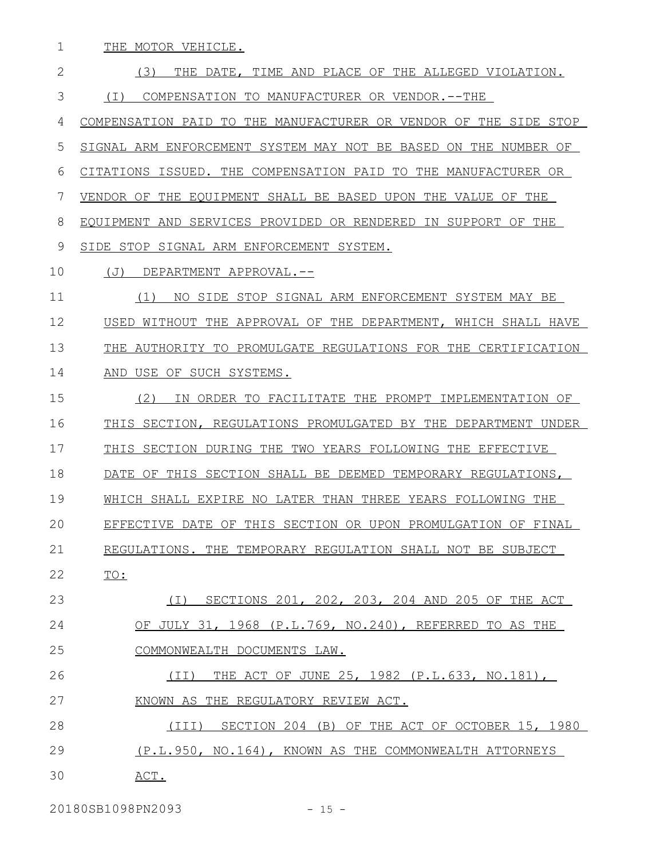THE MOTOR VEHICLE. (3) THE DATE, TIME AND PLACE OF THE ALLEGED VIOLATION. (I) COMPENSATION TO MANUFACTURER OR VENDOR.--THE COMPENSATION PAID TO THE MANUFACTURER OR VENDOR OF THE SIDE STOP SIGNAL ARM ENFORCEMENT SYSTEM MAY NOT BE BASED ON THE NUMBER OF CITATIONS ISSUED. THE COMPENSATION PAID TO THE MANUFACTURER OR VENDOR OF THE EQUIPMENT SHALL BE BASED UPON THE VALUE OF THE EQUIPMENT AND SERVICES PROVIDED OR RENDERED IN SUPPORT OF THE SIDE STOP SIGNAL ARM ENFORCEMENT SYSTEM. (J) DEPARTMENT APPROVAL.-- (1) NO SIDE STOP SIGNAL ARM ENFORCEMENT SYSTEM MAY BE USED WITHOUT THE APPROVAL OF THE DEPARTMENT, WHICH SHALL HAVE THE AUTHORITY TO PROMULGATE REGULATIONS FOR THE CERTIFICATION AND USE OF SUCH SYSTEMS. (2) IN ORDER TO FACILITATE THE PROMPT IMPLEMENTATION OF THIS SECTION, REGULATIONS PROMULGATED BY THE DEPARTMENT UNDER THIS SECTION DURING THE TWO YEARS FOLLOWING THE EFFECTIVE DATE OF THIS SECTION SHALL BE DEEMED TEMPORARY REGULATIONS, 1 2 3 4 5 6 7 8 9 10 11 12 13 14 15 16 17 18

WHICH SHALL EXPIRE NO LATER THAN THREE YEARS FOLLOWING THE 19

EFFECTIVE DATE OF THIS SECTION OR UPON PROMULGATION OF FINAL 20

REGULATIONS. THE TEMPORARY REGULATION SHALL NOT BE SUBJECT 21

TO: 22

 (I) SECTIONS 201, 202, 203, 204 AND 205 OF THE ACT OF JULY 31, 1968 (P.L.769, NO.240), REFERRED TO AS THE COMMONWEALTH DOCUMENTS LAW. 23 24 25

 (II) THE ACT OF JUNE 25, 1982 (P.L.633, NO.181), KNOWN AS THE REGULATORY REVIEW ACT. 26 27

 (III) SECTION 204 (B) OF THE ACT OF OCTOBER 15, 1980 (P.L.950, NO.164), KNOWN AS THE COMMONWEALTH ATTORNEYS 28 29

 ACT. 30

20180SB1098PN2093 - 15 -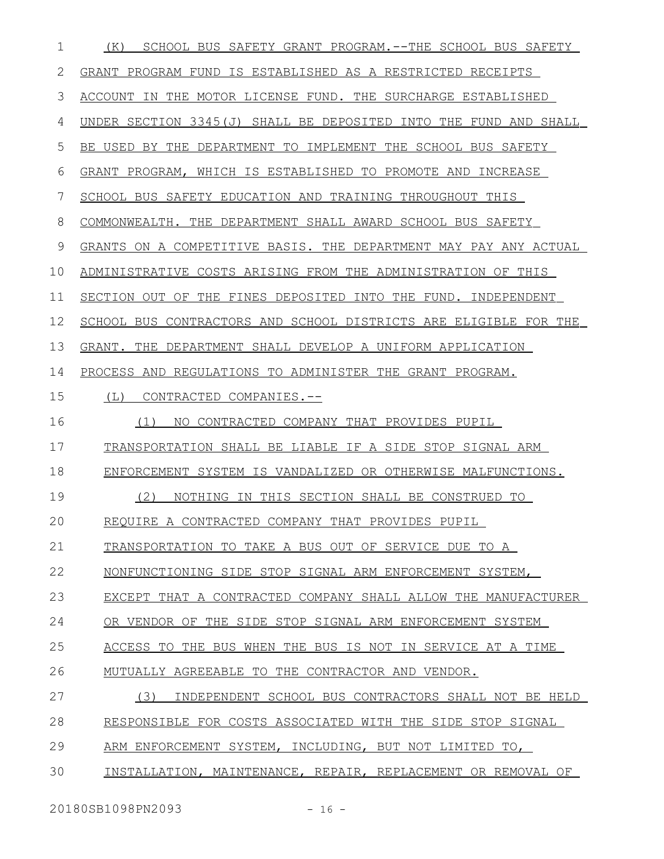| $\mathbf 1$ | SCHOOL BUS SAFETY GRANT PROGRAM. -- THE SCHOOL BUS SAFETY<br>(K) |
|-------------|------------------------------------------------------------------|
| 2           | GRANT PROGRAM FUND IS ESTABLISHED AS A RESTRICTED RECEIPTS       |
| 3           | ACCOUNT IN THE MOTOR LICENSE FUND. THE SURCHARGE ESTABLISHED     |
| 4           | UNDER SECTION 3345(J) SHALL BE DEPOSITED INTO THE FUND AND SHALL |
| 5           | BE USED BY THE DEPARTMENT TO IMPLEMENT THE SCHOOL BUS SAFETY     |
| 6           | GRANT PROGRAM, WHICH IS ESTABLISHED TO PROMOTE AND INCREASE      |
| 7           | SCHOOL BUS SAFETY EDUCATION AND TRAINING THROUGHOUT THIS         |
| 8           | COMMONWEALTH. THE DEPARTMENT SHALL AWARD SCHOOL BUS SAFETY       |
| 9           | GRANTS ON A COMPETITIVE BASIS. THE DEPARTMENT MAY PAY ANY ACTUAL |
| 10          | ADMINISTRATIVE COSTS ARISING FROM THE ADMINISTRATION OF THIS     |
| 11          | SECTION OUT OF THE FINES DEPOSITED INTO THE FUND. INDEPENDENT    |
| 12          | SCHOOL BUS CONTRACTORS AND SCHOOL DISTRICTS ARE ELIGIBLE FOR THE |
| 13          | GRANT. THE DEPARTMENT SHALL DEVELOP A UNIFORM APPLICATION        |
| 14          | PROCESS AND REGULATIONS TO ADMINISTER THE GRANT PROGRAM.         |
| 15          | (L)<br>CONTRACTED COMPANIES.--                                   |
| 16          | NO CONTRACTED COMPANY THAT PROVIDES PUPIL<br>(1)                 |
| 17          | TRANSPORTATION SHALL BE LIABLE IF A SIDE STOP SIGNAL ARM         |
| 18          | ENFORCEMENT SYSTEM IS VANDALIZED OR OTHERWISE MALFUNCTIONS.      |
| 19          | (2)<br>NOTHING IN THIS SECTION SHALL BE CONSTRUED TO             |
| 20          | REQUIRE A CONTRACTED COMPANY THAT PROVIDES PUPIL                 |
| 21          | TRANSPORTATION TO TAKE A BUS OUT OF SERVICE DUE TO A             |
| 22          | NONFUNCTIONING SIDE STOP SIGNAL ARM ENFORCEMENT SYSTEM,          |
| 23          | EXCEPT THAT A CONTRACTED COMPANY SHALL ALLOW THE MANUFACTURER    |
| 24          | OR VENDOR OF THE SIDE STOP SIGNAL ARM ENFORCEMENT SYSTEM         |
| 25          | ACCESS TO THE BUS WHEN THE BUS IS NOT IN SERVICE AT A TIME       |
| 26          | MUTUALLY AGREEABLE TO THE CONTRACTOR AND VENDOR.                 |
| 27          | (3)<br>INDEPENDENT SCHOOL BUS CONTRACTORS SHALL NOT BE HELD      |
| 28          | RESPONSIBLE FOR COSTS ASSOCIATED WITH THE SIDE STOP SIGNAL       |
| 29          | ARM ENFORCEMENT SYSTEM, INCLUDING, BUT NOT LIMITED TO,           |
| 30          | INSTALLATION, MAINTENANCE, REPAIR, REPLACEMENT OR REMOVAL OF     |
|             |                                                                  |